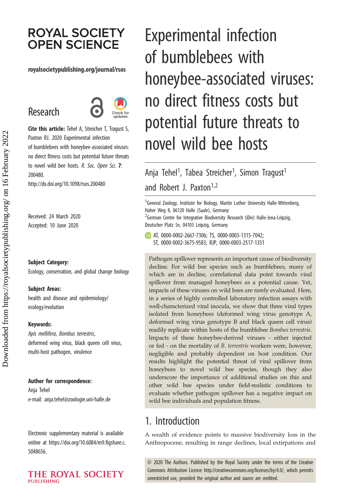# **ROYAL SOCIETY OPEN SCIENCE**

#### royalsocietypublishing.org/journal/rsos

# Research



Cite this article: Tehel A, Streicher T, Tragust S, Paxton RJ. 2020 Experimental infection of bumblebees with honeybee-associated viruses: no direct fitness costs but potential future threats to novel wild bee hosts. R. Soc. Open Sci. 7: 200480.

http://dx.doi.org/10.1098/rsos.200480

Received: 24 March 2020 Accepted: 10 June 2020

#### Subject Category:

Ecology, conservation, and global change biology

#### Subject Areas:

health and disease and epidemiology/ ecology/evolution

#### Keywords:

Apis mellifera, Bombus terrestris, deformed wing virus, black queen cell virus, multi-host pathogen, virulence

#### Author for correspondence:

Anja Tehel e-mail: [anja.tehel@zoologie.uni-halle.de](mailto:anja.tehel@zoologie.uni-halle.de)

Electronic supplementary material is available online at [https://doi.org/10.6084/m9.figshare.c.](https://doi.org/10.6084/m9.figshare.c.5048656) [5048656.](https://doi.org/10.6084/m9.figshare.c.5048656)

#### THE ROYAL SOCIETY **PUBLISHING**

# Experimental infection of bumblebees with honeybee-associated viruses: no direct fitness costs but potential future threats to novel wild bee hosts

Anja Tehel<sup>1</sup>, Tabea Streicher<sup>1</sup>, Simon Tragust<sup>1</sup> and Robert J. Paxton<sup>1,2</sup>

<sup>1</sup>General Zoology, Institute for Biology, Martin Luther University Halle-Wittenberg, Hoher Weg 8, 06120 Halle (Saale), Germany <sup>2</sup>German Centre for Integrative Biodiversity Research (iDiv) Halle-Jena-Leipzig,

Deutscher Platz 5e, 04103 Leipzig, Germany AT, [0000-0002-2667-7306;](http://orcid.org/0000-0002-2667-7306) TS, [0000-0003-1315-7042](http://orcid.org/0000-0003-1315-7042);

ST, [0000-0002-3675-9583;](http://orcid.org/0000-0002-3675-9583) RJP, [0000-0003-2517-1351](http://orcid.org/0000-0003-2517-1351)

Pathogen spillover represents an important cause of biodiversity decline. For wild bee species such as bumblebees, many of which are in decline, correlational data point towards viral spillover from managed honeybees as a potential cause. Yet, impacts of these viruses on wild bees are rarely evaluated. Here, in a series of highly controlled laboratory infection assays with well-characterized viral inocula, we show that three viral types isolated from honeybees (deformed wing virus genotype A, deformed wing virus genotype B and black queen cell virus) readily replicate within hosts of the bumblebee Bombus terrestris. Impacts of these honeybee-derived viruses - either injected or fed - on the mortality of B. terrestris workers were, however, negligible and probably dependent on host condition. Our results highlight the potential threat of viral spillover from honeybees to novel wild bee species, though they also underscore the importance of additional studies on this and other wild bee species under field-realistic conditions to evaluate whether pathogen spillover has a negative impact on wild bee individuals and population fitness.

# 1. Introduction

A wealth of evidence points to massive biodiversity loss in the Anthropocene, resulting in range declines, local extirpations and

© 2020 The Authors. Published by the Royal Society under the terms of the Creative Commons Attribution License<http://creativecommons.org/licenses/by/4.0/>, which permits unrestricted use, provided the original author and source are credited.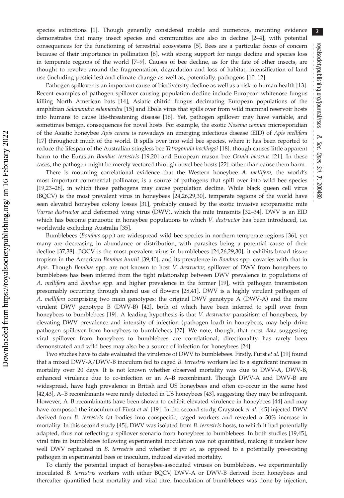species extinctions [[1](#page-8-0)]. Though generally considered mobile and numerous, mounting evidence demonstrates that many insect species and communities are also in decline [[2](#page-8-0)–[4](#page-8-0)], with potential consequences for the functioning of terrestrial ecosystems [\[5\]](#page-8-0). Bees are a particular focus of concern because of their importance in pollination [[6](#page-8-0)], with strong support for range decline and species loss in temperate regions of the world [\[7](#page-8-0)–[9\]](#page-9-0). Causes of bee decline, as for the fate of other insects, are thought to revolve around the fragmentation, degradation and loss of habitat, intensification of land use (including pesticides) and climate change as well as, potentially, pathogens [\[10](#page-9-0)–[12\]](#page-9-0).

Pathogen spillover is an important cause of biodiversity decline as well as a risk to human health [[13](#page-9-0)]. Recent examples of pathogen spillover causing population decline include European whitenose fungus killing North American bats [\[14](#page-9-0)], Asiatic chitrid fungus decimating European populations of the amphibian Salamandra salamandra [[15](#page-9-0)] and Ebola virus that spills over from wild mammal reservoir hosts into humans to cause life-threatening disease [\[16](#page-9-0)]. Yet, pathogen spillover may have variable, and sometimes benign, consequences for novel hosts. For example, the exotic Nosema ceranae microsporidian of the Asiatic honeybee Apis cerana is nowadays an emerging infectious disease (EID) of Apis mellifera [\[17](#page-9-0)] throughout much of the world. It spills over into wild bee species, where it has been reported to reduce the lifespan of the Australian stingless bee Tetragonula hockingsi [[18](#page-9-0)], though causes little apparent harm to the Eurasian Bombus terrestris [\[19,20](#page-9-0)] and European mason bee Osmia bicornis [\[21](#page-9-0)]. In these cases, the pathogen might be merely vectored through novel bee hosts [\[22](#page-9-0)] rather than cause them harm.

There is mounting correlational evidence that the Western honeybee A. mellifera, the world's most important commercial pollinator, is a source of pathogens that spill over into wild bee species [\[19](#page-9-0),[23](#page-9-0)–[28](#page-9-0)], in which those pathogens may cause population decline. While black queen cell virus (BQCV) is the most prevalent virus in honeybees [[24,26,29](#page-9-0),[30\]](#page-9-0), temperate regions of the world have seen elevated honeybee colony losses [[31\]](#page-9-0), probably caused by the exotic invasive ectoparasitic mite Varroa destructor and deformed wing virus (DWV), which the mite transmits [[32](#page-9-0)–[34](#page-9-0)]. DWV is an EID which has become panzootic in honeybee populations to which V. destructor has been introduced, i.e. worldwide excluding Australia [\[35](#page-9-0)].

Bumblebees (Bombus spp.) are widespread wild bee species in northern temperate regions [\[36](#page-9-0)], yet many are decreasing in abundance or distribution, with parasites being a potential cause of their decline [[37,38](#page-9-0)]. BQCV is the most prevalent virus in bumblebees [[24,26,29,30](#page-9-0)], it exhibits broad tissue tropism in the American Bombus huntii [\[39](#page-9-0),[40\]](#page-9-0), and its prevalence in Bombus spp. covaries with that in Apis. Though Bombus spp. are not known to host V. destructor, spillover of DWV from honeybees to bumblebees has been inferred from the tight relationship between DWV prevalence in populations of A. mellifera and Bombus spp. and higher prevalence in the former [[19\]](#page-9-0), with pathogen transmission presumably occurring through shared use of flowers [[28,41\]](#page-9-0). DWV is a highly virulent pathogen of A. mellifera comprising two main genotypes: the original DWV genotype A (DWV-A) and the more virulent DWV genotype B (DWV-B) [\[42](#page-9-0)], both of which have been inferred to spill over from honeybees to bumblebees [\[19](#page-9-0)]. A leading hypothesis is that V. destructor parasitism of honeybees, by elevating DWV prevalence and intensity of infection (pathogen load) in honeybees, may help drive pathogen spillover from honeybees to bumblebees [[27\]](#page-9-0). We note, though, that most data suggesting viral spillover from honeybees to bumblebees are correlational; directionality has rarely been demonstrated and wild bees may also be a source of infection for honeybees [[24\]](#page-9-0).

Two studies have to date evaluated the virulence of DWV to bumblebees. Firstly, Fürst et al. [\[19\]](#page-9-0) found that a mixed DWV-A/DWV-B inoculum fed to caged B. terrestris workers led to a significant increase in mortality over 20 days. It is not known whether observed mortality was due to DWV-A, DWV-B, enhanced virulence due to co-infection or an A–B recombinant. Though DWV-A and DWV-B are widespread, have high prevalence in British and US honeybees and often co-occur in the same host [\[42,43](#page-9-0)], A–B recombinants were rarely detected in US honeybees [[43](#page-9-0)], suggesting they may be infrequent. However, A–B recombinants have been shown to exhibit elevated virulence in honeybees [\[44](#page-9-0)] and may have composed the inoculum of Fürst et al. [\[19](#page-9-0)]. In the second study, Graystock et al. [\[45](#page-9-0)] injected DWV derived from B. terrestris fat bodies into conspecific, caged workers and revealed a 50% increase in mortality. In this second study [\[45](#page-9-0)], DWV was isolated from B. terrestris hosts, to which it had potentially adapted, thus not reflecting a spillover scenario from honeybees to bumblebees. In both studies [\[19,45](#page-9-0)], viral titre in bumblebees following experimental inoculation was not quantified, making it unclear how well DWV replicated in B. terrestris and whether it per se, as opposed to a potentially pre-existing pathogen in experimental bees or inoculum, induced elevated mortality.

To clarify the potential impact of honeybee-associated viruses on bumblebees, we experimentally inoculated B. terrestris workers with either BQCV, DWV-A or DWV-B derived from honeybees and thereafter quantified host mortality and viral titre. Inoculation of bumblebees was done by injection,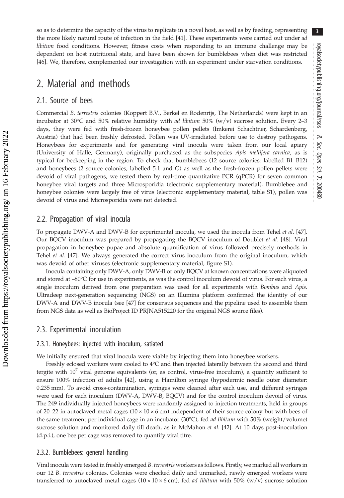so as to determine the capacity of the virus to replicate in a novel host, as well as by feeding, representing the more likely natural route of infection in the field [[41\]](#page-9-0). These experiments were carried out under ad *libitum* food conditions. However, fitness costs when responding to an immune challenge may be dependent on host nutritional state, and have been shown for bumblebees when diet was restricted [\[46](#page-9-0)]. We, therefore, complemented our investigation with an experiment under starvation conditions.

## 2. Material and methods

## 2.1. Source of bees

Commercial B. terrestris colonies (Koppert B.V., Berkel en Rodenrijs, The Netherlands) were kept in an incubator at 30 $\degree$ C and 50% relative humidity with *ad libitum* 50% (w/v) sucrose solution. Every 2-3 days, they were fed with fresh-frozen honeybee pollen pellets (Imkerei Schachtner, Schardenberg, Austria) that had been freshly defrosted. Pollen was UV-irradiated before use to destroy pathogens. Honeybees for experiments and for generating viral inocula were taken from our local apiary (University of Halle, Germany), originally purchased as the subspecies Apis mellifera carnica, as is typical for beekeeping in the region. To check that bumblebees (12 source colonies: labelled B1–B12) and honeybees (2 source colonies, labelled 5.1 and G) as well as the fresh-frozen pollen pellets were devoid of viral pathogens, we tested them by real-time quantitative PCR (qPCR) for seven common honeybee viral targets and three Microsporidia (electronic supplementary material). Bumblebee and honeybee colonies were largely free of virus (electronic supplementary material, table S1), pollen was devoid of virus and Microsporidia were not detected.

## 2.2. Propagation of viral inocula

To propagate DWV-A and DWV-B for experimental inocula, we used the inocula from Tehel et al. [\[47](#page-9-0)]. Our BQCV inoculum was prepared by propagating the BQCV inoculum of Doublet et al. [\[48](#page-9-0)]. Viral propagation in honeybee pupae and absolute quantification of virus followed precisely methods in Tehel et al. [[47\]](#page-9-0). We always generated the correct virus inoculum from the original inoculum, which was devoid of other viruses (electronic supplementary material, figure S1).

Inocula containing only DWV-A, only DWV-B or only BQCV at known concentrations were aliquoted and stored at –80°C for use in experiments, as was the control inoculum devoid of virus. For each virus, a single inoculum derived from one preparation was used for all experiments with *Bombus* and Apis. Ultradeep next-generation sequencing (NGS) on an Illumina platform confirmed the identity of our DWV-A and DWV-B inocula (see [\[47](#page-9-0)] for consensus sequences and the pipeline used to assemble them from NGS data as well as BioProject ID PRJNA515220 for the original NGS source files).

#### 2.3. Experimental inoculation

#### 2.3.1. Honeybees: injected with inoculum, satiated

We initially ensured that viral inocula were viable by injecting them into honeybee workers.

Freshly eclosed workers were cooled to 4°C and then injected laterally between the second and third tergite with  $10<sup>7</sup>$  viral genome equivalents (or, as control, virus-free inoculum), a quantity sufficient to ensure 100% infection of adults [\[42](#page-9-0)], using a Hamilton syringe (hypodermic needle outer diameter: 0.235 mm). To avoid cross-contamination, syringes were cleaned after each use, and different syringes were used for each inoculum (DWV-A, DWV-B, BQCV) and for the control inoculum devoid of virus. The 249 individually injected honeybees were randomly assigned to injection treatments, held in groups of 20–22 in autoclaved metal cages ( $10 \times 10 \times 6$  cm) independent of their source colony but with bees of the same treatment per individual cage in an incubator (30°C), fed *ad libitum* with 50% (weight/volume) sucrose solution and monitored daily till death, as in McMahon et al. [\[42](#page-9-0)]. At 10 days post-inoculation (d.p.i.), one bee per cage was removed to quantify viral titre.

#### 2.3.2. Bumblebees: general handling

Viral inocula were tested in freshly emerged B. terrestris workers as follows. Firstly, we marked all workers in our 12 B. terrestris colonies. Colonies were checked daily and unmarked, newly emerged workers were transferred to autoclaved metal cages  $(10 \times 10 \times 6 \text{ cm})$ , fed *ad libitum* with 50% (w/v) sucrose solution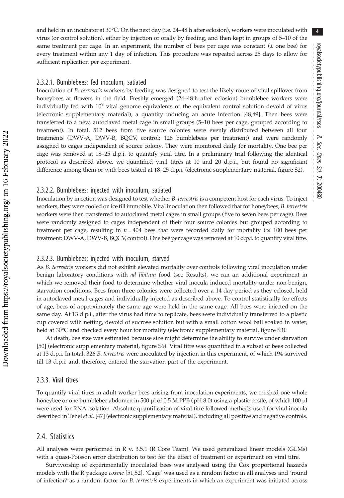and held in an incubator at  $30^{\circ}$ C. On the next day (i.e. 24–48 h after eclosion), workers were inoculated with virus (or control solution), either by injection or orally by feeding, and then kept in groups of 5–10 of the same treatment per cage. In an experiment, the number of bees per cage was constant  $(±$  one bee) for every treatment within any 1 day of infection. This procedure was repeated across 25 days to allow for sufficient replication per experiment.

#### 2.3.2.1. Bumblebees: fed inoculum, satiated

Inoculation of B. terrestris workers by feeding was designed to test the likely route of viral spillover from honeybees at flowers in the field. Freshly emerged (24–48 h after eclosion) bumblebee workers were individually fed with  $10<sup>9</sup>$  viral genome equivalents or the equivalent control solution devoid of virus (electronic supplementary material), a quantity inducing an acute infection [\[48,49](#page-9-0)]. Then bees were transferred to a new, autoclaved metal cage in small groups (5–10 bees per cage, grouped according to treatment). In total, 512 bees from five source colonies were evenly distributed between all four treatments (DWV-A, DWV-B, BQCV, control; 128 bumblebees per treatment) and were randomly assigned to cages independent of source colony. They were monitored daily for mortality. One bee per cage was removed at 18–25 d.p.i. to quantify viral titre. In a preliminary trial following the identical protocol as described above, we quantified viral titres at 10 and 20 d.p.i., but found no significant difference among them or with bees tested at 18–25 d.p.i. (electronic supplementary material, figure S2).

#### 2.3.2.2. Bumblebees: injected with inoculum, satiated

Inoculation by injection was designed to test whether *B. terrestris* is a competent host for each virus. To inject workers, they were cooled on ice till immobile. Viral inoculation then followed that for honeybees; B. terrestris workers were then transferred to autoclaved metal cages in small groups (five to seven bees per cage). Bees were randomly assigned to cages independent of their four source colonies but grouped according to treatment per cage, resulting in  $n = 404$  bees that were recorded daily for mortality (*ca* 100 bees per treatment: DWV-A, DWV-B, BQCV, control). One bee per cage was removed at 10 d.p.i. to quantify viral titre.

#### 2.3.2.3. Bumblebees: injected with inoculum, starved

As B. terrestris workers did not exhibit elevated mortality over controls following viral inoculation under benign laboratory conditions with *ad libitum* food (see Results), we ran an additional experiment in which we removed their food to determine whether viral inocula induced mortality under non-benign, starvation conditions. Bees from three colonies were collected over a 14 day period as they eclosed, held in autoclaved metal cages and individually injected as described above. To control statistically for effects of age, bees of approximately the same age were held in the same cage. All bees were injected on the same day. At 13 d.p.i., after the virus had time to replicate, bees were individually transferred to a plastic cup covered with netting, devoid of sucrose solution but with a small cotton wool ball soaked in water, held at 30°C and checked every hour for mortality (electronic supplementary material, figure S3).

At death, bee size was estimated because size might determine the ability to survive under starvation [\[50](#page-9-0)] (electronic supplementary material, figure S6). Viral titre was quantified in a subset of bees collected at 13 d.p.i. In total, 326 B. terrestris were inoculated by injection in this experiment, of which 194 survived till 13 d.p.i. and, therefore, entered the starvation part of the experiment.

#### 2.3.3. Viral titres

To quantify viral titres in adult worker bees arising from inoculation experiments, we crushed one whole honeybee or one bumblebee abdomen in 500 µl of 0.5 M PPB (pH 8.0) using a plastic pestle, of which 100 µl were used for RNA isolation. Absolute quantification of viral titre followed methods used for viral inocula described in Tehel et al. [[47](#page-9-0)] (electronic supplementary material), including all positive and negative controls.

## 2.4. Statistics

All analyses were performed in R v. 3.5.1 (R Core Team). We used generalized linear models (GLMs) with a quasi-Poisson error distribution to test for the effect of treatment or experiment on viral titre.

Survivorship of experimentally inoculated bees was analysed using the Cox proportional hazards models with the R package *coxme* [\[51](#page-10-0),[52\]](#page-10-0). 'Cage' was used as a random factor in all analyses and 'round of infection' as a random factor for B. terrestris experiments in which an experiment was initiated across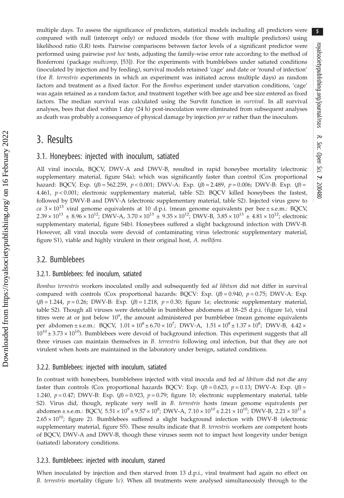multiple days. To assess the significance of predictors, statistical models including all predictors were compared with null (intercept only) or reduced models (for those with multiple predictors) using likelihood ratio (LR) tests. Pairwise comparisons between factor levels of a significant predictor were performed using pairwise post hoc tests, adjusting the family-wise error rate according to the method of Bonferroni (package multcomp, [\[53](#page-10-0)]). For the experiments with bumblebees under satiated conditions (inoculated by injection and by feeding), survival models retained 'cage' and date or 'round of infection' (for B. terrestris experiments in which an experiment was initiated across multiple days) as random factors and treatment as a fixed factor. For the Bombus experiment under starvation conditions, 'cage' was again retained as a random factor, and treatment together with bee age and bee size entered as fixed factors. The median survival was calculated using the Survfit function in *survival*. In all survival analyses, bees that died within 1 day (24 h) post-inoculation were eliminated from subsequent analyses as death was probably a consequence of physical damage by injection per se rather than the inoculum.

# 3. Results

## 3.1. Honeybees: injected with inoculum, satiated

All viral inocula, BQCV, DWV-A and DWV-B, resulted in rapid honeybee mortality (electronic supplementary material, figure S4a); which was significantly faster than control (Cox proportional hazard: BQCV, Exp.  $(\beta) = 562.259$ ,  $p < 0.001$ ; DWV-A: Exp.  $(\beta) = 2.489$ ,  $p = 0.006$ ; DWV-B: Exp.  $(\beta) =$ 4.461,  $p < 0.001$ ; electronic supplementary material, table S2). BQCV killed honeybees the fastest, followed by DWV-B and DWV-A (electronic supplementary material, table S2). Injected virus grew to ca  $3 \times 10^{13}$  viral genome equivalents at 10 d.p.i. (mean genome equivalents per bee ± s.e.m.: BQCV,  $2.39 \times 10^{13} \pm 8.96 \times 10^{12}$ ; DWV-A,  $3.70 \times 10^{13} \pm 9.35 \times 10^{12}$ ; DWV-B,  $3.85 \times 10^{13} \pm 4.81 \times 10^{12}$ ; electronic supplementary material, figure S4b). Honeybees suffered a slight background infection with DWV-B. However, all viral inocula were devoid of contaminating virus (electronic supplementary material, figure S1), viable and highly virulent in their original host, A. mellifera.

## 3.2. Bumblebees

#### 3.2.1. Bumblebees: fed inoculum, satiated

Bombus terrestris workers inoculated orally and subsequently fed ad libitum did not differ in survival compared with controls (Cox proportional hazards: BQCV: Exp.  $(\beta) = 0.940$ ,  $p = 0.75$ ; DWV-A: Exp.  $(\beta) = 1.244$ ,  $p = 0.26$ ; DWV-B: Exp.  $(\beta) = 1.218$ ,  $p = 0.30$ ; [figure 1](#page-5-0)a; electronic supplementary material, table S2). Though all viruses were detectable in bumblebee abdomens at 18–25 d.p.i. [\(figure 1](#page-5-0)a), viral titres were at or just below  $10^9$ , the amount administered per bumblebee (mean genome equivalents per abdomen ± s.e.m.: BQCV,  $1.01 \times 10^8 \pm 6.70 \times 10^7$ ; DWV-A,  $1.51 \times 10^8 \pm 1.37 \times 10^8$ ; DWV-B,  $4.42 \times$  $10^{10} \pm 3.73 \times 10^{10}$ ). Bumblebees were devoid of background infection. This experiment suggests that all three viruses can maintain themselves in B. terrestris following oral infection, but that they are not virulent when hosts are maintained in the laboratory under benign, satiated conditions.

#### 3.2.2. Bumblebees: injected with inoculum, satiated

In contrast with honeybees, bumblebees injected with viral inocula and fed *ad libitum* did not die any faster than controls (Cox proportional hazards BQCV: Exp.  $(\beta) = 0.623$ ,  $p = 0.13$ ; DWV-A: Exp.  $(\beta) =$ 1.240,  $p = 0.47$ ; DWV-B: Exp. ( $\beta$ ) = 0.923,  $p = 0.79$ ; [figure 1](#page-5-0)b; electronic supplementary material, table S2). Virus did, though, replicate very well in B. terrestris hosts (mean genome equivalents per abdomen ± s.e.m.: BQCV,  $5.51 \times 10^9$  ±  $9.57 \times 10^8$ ; DWV-A,  $7.10 \times 10^{10}$  ±  $2.21 \times 10^{10}$ ; DWV-B,  $2.21 \times 10^{11}$  ±  $2.65 \times 10^{10}$ ; [figure 2\)](#page-6-0). Bumblebees suffered a slight background infection with DWV-B (electronic supplementary material, figure S5). These results indicate that B. terrestris workers are competent hosts of BQCV, DWV-A and DWV-B, though these viruses seem not to impact host longevity under benign (satiated) laboratory conditions.

#### 3.2.3. Bumblebees: injected with inoculum, starved

When inoculated by injection and then starved from 13 d.p.i., viral treatment had again no effect on B. terrestris mortality [\(figure 1](#page-5-0)c). When all treatments were analysed simultaneously through to the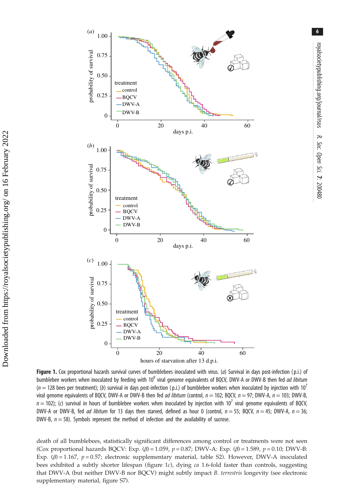<span id="page-5-0"></span>

Figure 1. Cox proportional hazards survival curves of bumblebees inoculated with virus. (a) Survival in days post-infection (p.i.) of bumblebee workers when inoculated by feeding with  $10^9$  viral genome equivalents of BQCV, DWV-A or DWV-B then fed *ad libitum*  $(n = 128$  bees per treatment); (b) survival in days post-infection (p.i.) of bumblebee workers when inoculated by injection with 10<sup>7</sup> viral genome equivalents of BQCV, DWV-A or DWV-B then fed ad libitum (control,  $n = 102$ ; BQCV,  $n = 97$ ; DWV-A,  $n = 103$ ; DWV-B,  $n = 102$ ); (c) survival in hours of bumblebee workers when inoculated by injection with  $10^7$  viral genome equivalents of BQCV, DWV-A or DWV-B, fed *ad libitum* for 13 days then starved, defined as hour 0 (control,  $n = 55$ ; BQCV,  $n = 45$ ; DWV-A,  $n = 36$ ; DWV-B,  $n = 58$ ). Symbols represent the method of infection and the availability of sucrose.

death of all bumblebees, statistically significant differences among control or treatments were not seen (Cox proportional hazards BQCV: Exp.  $(\beta) = 1.059$ ,  $p = 0.87$ ; DWV-A: Exp.  $(\beta) = 1.589$ ,  $p = 0.10$ ; DWV-B: Exp.  $(\beta) = 1.167$ ,  $p = 0.57$ ; electronic supplementary material, table S2). However, DWV-A inoculated bees exhibited a subtly shorter lifespan (figure 1c), dying ca 1.6-fold faster than controls, suggesting that DWV-A (but neither DWV-B nor BQCV) might subtly impact B. terrestris longevity (see electronic supplementary material, figure S7).

Soc. Open

Sci.

7: 200480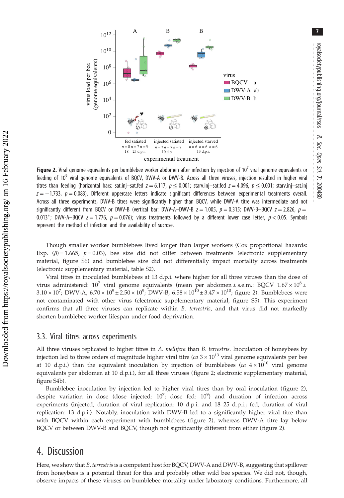<span id="page-6-0"></span>

Figure 2. Viral genome equivalents per bumblebee worker abdomen after infection by injection of 10<sup>7</sup> viral genome equivalents or feeding of 10<sup>9</sup> viral genome equivalents of BQCV, DWV-A or DWV-B. Across all three viruses, injection resulted in higher viral titres than feeding (horizontal bars: sat.inj–sat.fed  $z = 6.117$ ,  $p \le 0.001$ ; starv.inj–sat.fed  $z = 4.096$ ,  $p \le 0.001$ ; starv.inj–sat.inj  $z = -1.733$ ,  $p = 0.083$ ). Different uppercase letters indicate significant differences between experimental treatments overall. Across all three experiments, DWV-B titres were significantly higher than BQCV, while DWV-A titre was intermediate and not significantly different from BQCV or DWV-B (vertical bar: DWV-A–DWV-B  $z = 1.005$ ,  $p = 0.315$ ; DWV-B–BQCV  $z = 2.826$ ,  $p =$ 0.013\*; DWV-A–BQCV  $z = 1.776$ ,  $p = 0.076$ ); virus treatments followed by a different lower case letter,  $p < 0.05$ . Symbols represent the method of infection and the availability of sucrose.

Though smaller worker bumblebees lived longer than larger workers (Cox proportional hazards: Exp. ( $\beta$ ) = 1.665,  $p$  = 0.03), bee size did not differ between treatments (electronic supplementary material, figure S6) and bumblebee size did not differentially impact mortality across treatments (electronic supplementary material, table S2).

Viral titres in inoculated bumblebees at 13 d.p.i. where higher for all three viruses than the dose of virus administered:  $10^7$  viral genome equivalents (mean per abdomen ± s.e.m.: BQCV  $1.67 \times 10^8$  ±  $3.10 \times 10^7$ ; DWV-A,  $6.70 \times 10^9 \pm 2.50 \times 10^9$ ; DWV-B,  $6.58 \times 10^{10} \pm 3.47 \times 10^{10}$ ; figure 2). Bumblebees were not contaminated with other virus (electronic supplementary material, figure S5). This experiment confirms that all three viruses can replicate within B. terrestris, and that virus did not markedly shorten bumblebee worker lifespan under food deprivation.

### 3.3. Viral titres across experiments

All three viruses replicated to higher titres in A. mellifera than B. terrestris. Inoculation of honeybees by injection led to three orders of magnitude higher viral titre (ca  $3 \times 10^{13}$  viral genome equivalents per bee at 10 d.p.i.) than the equivalent inoculation by injection of bumblebees (ca  $4 \times 10^{10}$  viral genome equivalents per abdomen at 10 d.p.i.), for all three viruses (figure 2; electronic supplementary material, figure S4b).

Bumblebee inoculation by injection led to higher viral titres than by oral inoculation (figure 2), despite variation in dose (dose injected:  $10^7$ ; dose fed:  $10^9$ ) and duration of infection across experiments (injected, duration of viral replication: 10 d.p.i. and 18–25 d.p.i.; fed, duration of viral replication: 13 d.p.i.). Notably, inoculation with DWV-B led to a significantly higher viral titre than with BQCV within each experiment with bumblebees (figure 2), whereas DWV-A titre lay below BQCV or between DWV-B and BQCV, though not significantly different from either (figure 2).

## 4. Discussion

Here, we show that B. terrestris is a competent host for BQCV, DWV-A and DWV-B, suggesting that spillover from honeybees is a potential threat for this and probably other wild bee species. We did not, though, observe impacts of these viruses on bumblebee mortality under laboratory conditions. Furthermore, all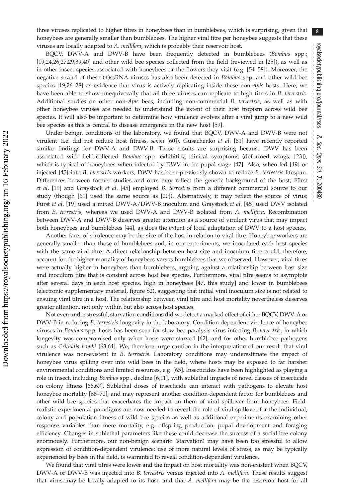8

three viruses replicated to higher titres in honeybees than in bumblebees, which is surprising, given that honeybees are generally smaller than bumblebees. The higher viral titre per honeybee suggests that these viruses are locally adapted to A. mellifera, which is probably their reservoir host.

BQCV, DWV-A and DWV-B have been frequently detected in bumblebees (*Bombus* spp.; [\[19](#page-9-0),[24,26,27,29](#page-9-0),[39,40\]](#page-9-0) and other wild bee species collected from the field (reviewed in [\[25](#page-9-0)]), as well as in other insect species associated with honeybees or the flowers they visit (e.g. [[54](#page-10-0)–[58](#page-10-0)]). Moreover, the negative strand of these (+)ssRNA viruses has also been detected in Bombus spp. and other wild bee species [[19,26](#page-9-0)–[28\]](#page-9-0) as evidence that virus is actively replicating inside these non-Apis hosts. Here, we have been able to show unequivocally that all three viruses can replicate to high titres in B. terrestris. Additional studies on other non-Apis bees, including non-commercial B. terrestris, as well as with other honeybee viruses are needed to understand the extent of their host tropism across wild bee species. It will also be important to determine how virulence evolves after a viral jump to a new wild bee species as this is central to disease emergence in the new host [[59\]](#page-10-0).

Under benign conditions of the laboratory, we found that BQCV, DWV-A and DWV-B were not virulent (i.e. did not reduce host fitness, sensu [[60\]](#page-10-0)). Gusachenko et al. [[61\]](#page-10-0) have recently reported similar findings for DWV-A and DWV-B. These results are surprising because DWV has been associated with field-collected Bombus spp. exhibiting clinical symptoms (deformed wings; [\[23](#page-9-0)]), which is typical of honeybees when infected by DWV in the pupal stage [\[47](#page-9-0)]. Also, when fed [[19\]](#page-9-0) or injected [[45\]](#page-9-0) into B. terrestris workers, DWV has been previously shown to reduce B. terrestris lifespan. Differences between former studies and ours may reflect the genetic background of the host; Fürst et al. [\[19](#page-9-0)] and Graystock et al. [[45\]](#page-9-0) employed B. terrestris from a different commercial source to our study (though [[61\]](#page-10-0) used the same source as [\[20](#page-9-0)]). Alternatively, it may reflect the source of virus; Fürst et al. [\[19](#page-9-0)] used a mixed DWV-A/DWV-B inoculum and Graystock et al. [\[45](#page-9-0)] used DWV isolated from B. terrestris, whereas we used DWV-A and DWV-B isolated from A. mellifera. Recombination between DWV-A and DWV-B deserves greater attention as a source of virulent virus that may impact both honeybees and bumblebees [[44\]](#page-9-0), as does the extent of local adaptation of DWV to a host species.

Another facet of virulence may be the size of the host in relation to viral titre. Honeybee workers are generally smaller than those of bumblebees and, in our experiments, we inoculated each host species with the same viral titre. A direct relationship between host size and inoculum titre could, therefore, account for the higher mortality of honeybees versus bumblebees that we observed. However, viral titres were actually higher in honeybees than bumblebees, arguing against a relationship between host size and inoculum titre that is constant across host bee species. Furthermore, viral titre seems to asymptote after several days in each host species, high in honeybees [\[47](#page-9-0), this study] and lower in bumblebees (electronic supplementary material, figure S2), suggesting that initial viral inoculum size is not related to ensuing viral titre in a host. The relationship between viral titre and host mortality nevertheless deserves greater attention, not only within but also across host species.

Not even under stressful, starvation conditions did we detect a marked effect of either BQCV, DWV-A or DWV-B in reducing B. terrestris longevity in the laboratory. Condition-dependent virulence of honeybee viruses in Bombus spp. hosts has been seen for slow bee paralysis virus infecting B. terrestris, in which longevity was compromised only when hosts were starved [[62\]](#page-10-0), and for other bumblebee pathogens such as Crithidia bombi [\[63](#page-10-0),[64](#page-10-0)]. We, therefore, urge caution in the interpretation of our result that viral virulence was non-existent in B. terrestris. Laboratory conditions may underestimate the impact of honeybee virus spilling over into wild bees in the field, where hosts may be exposed to far harsher environmental conditions and limited resources, e.g. [[65\]](#page-10-0). Insecticides have been highlighted as playing a role in insect, including Bombus spp., decline [[6](#page-8-0)[,11\]](#page-9-0), with sublethal impacts of novel classes of insecticide on colony fitness [\[66,67](#page-10-0)]. Sublethal doses of insecticide can interact with pathogens to elevate host honeybee mortality [[68](#page-10-0)–[70](#page-10-0)], and may represent another condition-dependent factor for bumblebees and other wild bee species that exacerbates the impact on them of viral spillover from honeybees. Fieldrealistic experimental paradigms are now needed to reveal the role of viral spillover for the individual, colony and population fitness of wild bee species as well as additional experiments examining other response variables than mere mortality, e.g. offspring production, pupal development and foraging efficiency. Changes in sublethal parameters like these could decrease the success of a social bee colony enormously. Furthermore, our non-benign scenario (starvation) may have been too stressful to allow expression of condition-dependent virulence; use of more natural levels of stress, as may be typically experienced by bees in the field, is warranted to reveal condition-dependent virulence.

We found that viral titres were lower and the impact on host mortality was non-existent when BQCV, DWV-A or DWV-B was injected into B. terrestris versus injected into A. mellifera. These results suggest that virus may be locally adapted to its host, and that A. mellifera may be the reservoir host for all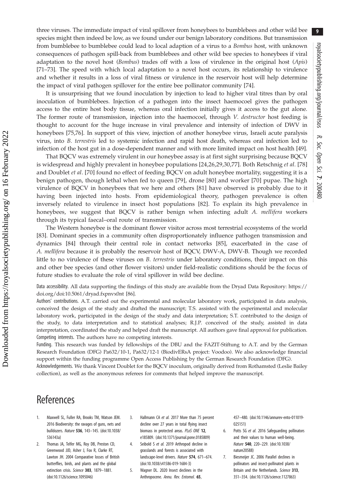<span id="page-8-0"></span>three viruses. The immediate impact of viral spillover from honeybees to bumblebees and other wild bee species might then indeed be low, as we found under our benign laboratory conditions. But transmission from bumblebee to bumblebee could lead to local adaption of a virus to a Bombus host, with unknown consequences of pathogen spill-back from bumblebees and other wild bee species to honeybees if viral adaptation to the novel host (Bombus) trades off with a loss of virulence in the original host (Apis) [\[71](#page-10-0)–[73\]](#page-10-0). The speed with which local adaptation to a novel host occurs, its relationship to virulence and whether it results in a loss of viral fitness or virulence in the reservoir host will help determine the impact of viral pathogen spillover for the entire bee pollinator community [[74\]](#page-10-0).

It is unsurprising that we found inoculation by injection to lead to higher viral titres than by oral inoculation of bumblebees. Injection of a pathogen into the insect haemocoel gives the pathogen access to the entire host body tissue, whereas oral infection initially gives it access to the gut alone. The former route of transmission, injection into the haemocoel, through V. destructor host feeding is thought to account for the huge increase in viral prevalence and intensity of infection of DWV in honeybees [\[75,76](#page-10-0)]. In support of this view, injection of another honeybee virus, Israeli acute paralysis virus, into B. terrestris led to systemic infection and rapid host death, whereas oral infection led to infection of the host gut in a dose-dependent manner and with more limited impact on host health [\[49](#page-9-0)].

That BQCV was extremely virulent in our honeybee assay is at first sight surprising because BQCV is widespread and highly prevalent in honeybee populations [[24](#page-9-0),[26,29](#page-9-0),[30](#page-9-0)[,77\]](#page-10-0). Both Retschnig et al. [\[78\]](#page-10-0) and Doublet et al. [[70\]](#page-10-0) found no effect of feeding BQCV on adult honeybee mortality, suggesting it is a benign pathogen, though lethal when fed to queen [\[79](#page-10-0)], drone [\[80](#page-10-0)] and worker [[70\]](#page-10-0) pupae. The high virulence of BQCV in honeybees that we here and others [\[81\]](#page-10-0) have observed is probably due to it having been injected into hosts. From epidemiological theory, pathogen prevalence is often inversely related to virulence in insect host populations [[82\]](#page-10-0). To explain its high prevalence in honeybees, we suggest that BQCV is rather benign when infecting adult A. mellifera workers through its typical faecal–oral route of transmission.

The Western honeybee is the dominant flower visitor across most terrestrial ecosystems of the world [\[83](#page-10-0)]. Dominant species in a community often disproportionately influence pathogen transmission and dynamics [[84\]](#page-10-0) through their central role in contact networks [[85\]](#page-10-0), exacerbated in the case of A. mellifera because it is probably the reservoir host of BQCV, DWV-A, DWV-B. Though we recorded little to no virulence of these viruses on B. terrestris under laboratory conditions, their impact on this and other bee species (and other flower visitors) under field-realistic conditions should be the focus of future studies to evaluate the role of viral spillover in wild bee decline.

Data accessibility. All data supporting the findings of this study are available from the Dryad Data Repository: [https://](https://doi.org/doi:10.5061/dryad.fxpnvx0nt) [doi.org/doi:10.5061/dryad.fxpnvx0nt](https://doi.org/doi:10.5061/dryad.fxpnvx0nt) [[86\]](#page-10-0).

Authors' contributions. A.T. carried out the experimental and molecular laboratory work, participated in data analysis, conceived the design of the study and drafted the manuscript; T.S. assisted with the experimental and molecular laboratory work, participated in the design of the study and data interpretation; S.T. contributed to the design of the study, to data interpretation and to statistical analyses; R.J.P. conceived of the study, assisted in data interpretation, coordinated the study and helped draft the manuscript. All authors gave final approval for publication. Competing interests. The authors have no competing interests.

Funding. This research was funded by fellowships of the DBU and the FAZIT-Stiftung to A.T. and by the German Research Foundation (DFG) Pa632/10-1, Pa632/12-1 (BiodivERsA project: Voodoo). We also acknowledge financial support within the funding programme Open Access Publishing by the German Research Foundation (DFG).

Acknowledgements. We thank Vincent Doublet for the BQCV inoculum, originally derived from Rothamsted (Leslie Bailey collection), as well as the anonymous referees for comments that helped improve the manuscript.

# **References**

- 1. Maxwell SL, Fuller RA, Brooks TM, Watson JEM. 2016 Biodiversity: the ravages of guns, nets and bulldozers. Nature 536, 143–145. [\(doi:10.1038/](http://dx.doi.org/10.1038/536143a) [536143a\)](http://dx.doi.org/10.1038/536143a)
- 2. Thomas JA, Telfer MG, Roy DB, Preston CD, Greenwood JJD, Asher J, Fox R, Clarke RT, Lawton JH. 2004 Comparative losses of British butterflies, birds, and plants and the global extinction crisis. Science 303, 1879-1881. ([doi:10.1126/science.1095046](http://dx.doi.org/10.1126/science.1095046))
- 3. Hallmann CA et al. 2017 More than 75 percent decline over 27 years in total flying insect biomass in protected areas. PLoS ONE 12, e185809. [\(doi:10.1371/journal.pone.0185809\)](http://dx.doi.org/10.1371/journal.pone.0185809)
- 4. Seibold S et al. 2019 Arthropod decline in grasslands and forests is associated with landscape-level drivers. Nature 574, 671–674. ([doi:10.1038/s41586-019-1684-3](http://dx.doi.org/10.1038/s41586-019-1684-3))
- 5. Wagner DL. 2020 Insect declines in the Anthropocene. Annu. Rev. Entomol. 65,

457–480. ([doi:10.1146/annurev-ento-011019-](http://dx.doi.org/10.1146/annurev-ento-011019-025151) [025151](http://dx.doi.org/10.1146/annurev-ento-011019-025151))

- 6. Potts SG et al. 2016 Safeguarding pollinators and their values to human well-being. Nature 540, 220–229. ([doi:10.1038/](http://dx.doi.org/10.1038/nature20588) [nature20588](http://dx.doi.org/10.1038/nature20588))
- 7. Biesmeijer JC. 2006 Parallel declines in pollinators and insect-pollinated plants in Britain and the Netherlands. Science 313, 351–354. ([doi:10.1126/science.1127863](http://dx.doi.org/10.1126/science.1127863))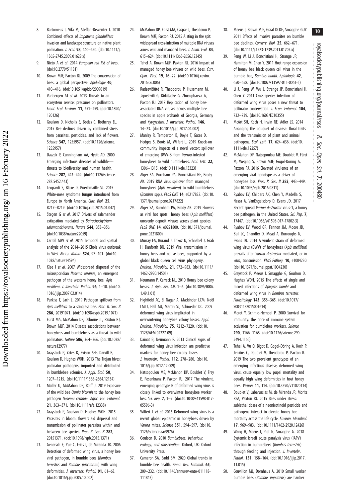- <span id="page-9-0"></span>8. Bartomeus I, Vilà M, Steffan-Dewenter I. 2010 Combined effects of Impatiens glandulifera invasion and landscape structure on native plant pollination. J. Ecol. 98, 440-450. [\(doi:10.1111/j.](http://dx.doi.org/10.1111/j.1365-2745.2009.01629.x) [1365-2745.2009.01629.x\)](http://dx.doi.org/10.1111/j.1365-2745.2009.01629.x)
- 9. Nieto A et al. 2014 European red list of bees. ([doi:10.2779/51181\)](http://dx.doi.org/10.2779/51181)
- 10. Brown MJF, Paxton RJ. 2009 The conservation of bees: a global perspective. Apidologie 40, 410–416. ([doi:10.1051/apido/2009019\)](http://dx.doi.org/10.1051/apido/2009019)
- 11. Vanbergen AJ et al. 2013 Threats to an ecosystem service: pressures on pollinators. Front. Ecol. Environ. 11, 251–259. [\(doi:10.1890/](http://dx.doi.org/10.1890/120126) [120126\)](http://dx.doi.org/10.1890/120126)
- 12. Goulson D, Nicholls E, Botías C, Rotheray EL. 2015 Bee declines driven by combined stress from parasites, pesticides, and lack of flowers. Science 347, 1255957. [\(doi:10.1126/science.](http://dx.doi.org/10.1126/science.1255957) [1255957\)](http://dx.doi.org/10.1126/science.1255957)
- 13. Daszak P, Cunningham AA, Hyatt AD. 2000 Emerging infectious diseases of wildlife threats to biodiversity and human health. Science 287, 443-449. [\(doi:10.1126/science.](http://dx.doi.org/10.1126/science.287.5452.443) [287.5452.443](http://dx.doi.org/10.1126/science.287.5452.443))
- 14. Leopardi S, Blake D, Puechmaille SJ. 2015 White-nose syndrome fungus introduced from Europe to North America. Curr. Biol. 25, R217–R219. ([doi:10.1016/j.cub.2015.01.047\)](http://dx.doi.org/10.1016/j.cub.2015.01.047)
- 15. Stegen G et al. 2017 Drivers of salamander extirpation mediated by Batrachochytrium salamandrivorans. Nature 544, 353-356. ([doi:10.1038/nature22059\)](http://dx.doi.org/10.1038/nature22059)
- 16. Carroll MW et al. 2015 Temporal and spatial analysis of the 2014–2015 Ebola virus outbreak in West Africa. Nature 524, 97–101. [\(doi:10.](http://dx.doi.org/10.1038/nature14594) [1038/nature14594](http://dx.doi.org/10.1038/nature14594))

Downloaded from https://royalsocietypublishing.org/ on 16 February 2022

Downloaded from https://royalsocietypublishing.org/ on 16 February 2022

- 17. Klee J et al. 2007 Widespread dispersal of the microsporidian Nosema ceranae, an emergent pathogen of the western honey bee, Apis mellifera. J. Invertebr. Pathol. 96, 1–10. [\(doi:10.](http://dx.doi.org/10.1016/j.jip.2007.02.014) [1016/j.jip.2007.02.014](http://dx.doi.org/10.1016/j.jip.2007.02.014))
- 18. Purkiss T, Lach L. 2019 Pathogen spillover from Apis mellifera to a stingless bee. Proc. R. Soc. B 286, 20191071. ([doi:10.1098/rspb.2019.1071\)](http://dx.doi.org/10.1098/rspb.2019.1071)
- 19. Fürst MA, McMahon DP, Osborne JL, Paxton RJ, Brown MJF. 2014 Disease associations between honeybees and bumblebees as a threat to wild pollinators. Nature 506, 364–366. [\(doi:10.1038/](http://dx.doi.org/10.1038/nature12977) [nature12977\)](http://dx.doi.org/10.1038/nature12977)
- 20. Graystock P, Yates K, Evison SEF, Darvill B, Goulson D, Hughes WOH. 2013 The Trojan hives: pollinator pathogens, imported and distributed in bumblebee colonies. J. Appl. Ecol. 50, 1207–1215. [\(doi:10.1111/1365-2664.12134](http://dx.doi.org/10.1111/1365-2664.12134))
- 21. Müller U, McMahon DP, Rolff J. 2019 Exposure of the wild bee Osmia bicornis to the honey bee pathogen Nosema ceranae. Agric. For. Entomol. 21, 363–371. ([doi:10.1111/afe.12338\)](http://dx.doi.org/10.1111/afe.12338)
- 22. Graystock P, Goulson D, Hughes WOH. 2015 Parasites in bloom: flowers aid dispersal and transmission of pollinator parasites within and between bee species. Proc. R. Soc. B 282, 20151371. [\(doi:10.1098/rspb.2015.1371](http://dx.doi.org/10.1098/rspb.2015.1371))
- 23. Genersch E, Yue C, Fries I, de Miranda JR. 2006 Detection of deformed wing virus, a honey bee viral pathogen, in bumble bees (Bombus terrestris and Bombus pascuorum) with wing deformities. J. Invertebr. Pathol. 91, 61-63. ([doi:10.1016/j.jip.2005.10.002\)](http://dx.doi.org/10.1016/j.jip.2005.10.002)
- 24. McMahon DP, Fürst MA, Caspar J, Theodorou P, Brown MJF, Paxton RJ. 2015 A sting in the spit: widespread cross-infection of multiple RNA viruses across wild and managed bees. J. Anim. Ecol. 84, 615–624. [\(doi:10.1111/1365-2656.12345\)](http://dx.doi.org/10.1111/1365-2656.12345)
- 25. Tehel A, Brown MJF, Paxton RJ. 2016 Impact of managed honey bee viruses on wild bees. Curr. Opin. Virol. 19, 16–22. [\(doi:10.1016/j.coviro.](http://dx.doi.org/10.1016/j.coviro.2016.06.006) [2016.06.006\)](http://dx.doi.org/10.1016/j.coviro.2016.06.006)
- 26. Radzevičiūtė R, Theodorou P, Husemann M, Japoshvili G, Kirkitadze G, Zhusupbaeva A, Paxton RJ. 2017 Replication of honey beeassociated RNA viruses across multiple bee species in apple orchards of Georgia, Germany and Kyrgyzstan. J. Invertebr. Pathol. 146, 14–23. ([doi:10.1016/j.jip.2017.04.002\)](http://dx.doi.org/10.1016/j.jip.2017.04.002)
- 27. Manley R, Temperton B, Doyle T, Gates D, Hedges S, Boots M, Wilfert L. 2019 Knock-on community impacts of a novel vector: spillover of emerging DWV-B from Varroa-infested honeybees to wild bumblebees. Ecol. Lett. 22. 1306–1315. ([doi:10.1111/ele.13323\)](http://dx.doi.org/10.1111/ele.13323)
- 28. Alger SA, Burnham PA, Boncristiani HF, Brody AK. 2019 RNA virus spillover from managed honeybees (Apis mellifera) to wild bumblebees (Bombus spp.). PLoS ONE 14, e0217822. [\(doi:10.](http://dx.doi.org/10.1371/journal.pone.0217822) [1371/journal.pone.0217822](http://dx.doi.org/10.1371/journal.pone.0217822))
- 29. Alger SA, Burnham PA, Brody AK. 2019 Flowers as viral hot spots : honey bees (Apis mellifera) unevenly deposit viruses across plant species. PLoS ONE 14, e0221800. ([doi:10.1371/journal.](http://dx.doi.org/10.1371/journal.pone.0221800) [pone.0221800](http://dx.doi.org/10.1371/journal.pone.0221800))
- 30. Murray EA, Burand J, Trikoz N, Schnabel J, Grab H, Danforth BN. 2019 Viral transmission in honey bees and native bees, supported by a global black queen cell virus phylogeny. Environ. Microbiol. 21, 972–983. [\(doi:10.1111/](http://dx.doi.org/10.1111/1462-2920.14501) [1462-2920.14501\)](http://dx.doi.org/10.1111/1462-2920.14501)
- 31. Neumann P, Carreck NL. 2010 Honey bee colony losses. J. Apic. Res. 49, 1–6. ([doi:10.3896/IBRA.](http://dx.doi.org/10.3896/IBRA.1.49.1.01) [1.49.1.01\)](http://dx.doi.org/10.3896/IBRA.1.49.1.01)
- 32. Highfield AC, El Nagar A, Mackinder LCM, Noël LMLJ, Hall MJ, Martin SJ, Schroeder DC. 2009 deformed wing virus implicated in overwintering honeybee colony losses. Appl. Environ. Microbiol. 75, 7212–7220. ([doi:10.](http://dx.doi.org/10.1128/AEM.02227-09) [1128/AEM.02227-09](http://dx.doi.org/10.1128/AEM.02227-09))
- 33. Dainat B, Neumann P. 2013 Clinical signs of deformed wing virus infection are predictive markers for honey bee colony losses. J. Invertebr. Pathol. 112, 278–280. [\(doi:10.](http://dx.doi.org/10.1016/j.jip.2012.12.009) [1016/j.jip.2012.12.009](http://dx.doi.org/10.1016/j.jip.2012.12.009))
- 34. Natsopoulou ME, McMahon DP, Doublet V, Frey E, Rosenkranz P, Paxton RJ. 2017 The virulent, emerging genotype B of deformed wing virus is closely linked to overwinter honeybee worker loss. Sci. Rep. 7, 1–9. [\(doi:10.1038/s41598-017-](http://dx.doi.org/10.1038/s41598-017-05596-3) [05596-3\)](http://dx.doi.org/10.1038/s41598-017-05596-3)
- 35. Wilfert L et al. 2016 Deformed wing virus is a recent global epidemic in honeybees driven by Varroa mites. Science 351, 594–597. ([doi:10.](http://dx.doi.org/10.1126/science.aac9976) [1126/science.aac9976](http://dx.doi.org/10.1126/science.aac9976))
- 36. Goulson D. 2010 Bumblebees: behaviour, ecology, and conservation. Oxford, UK: Oxford University Press.
- 37. Cameron SA, Sadd BM. 2020 Global trends in bumble bee health. Annu. Rev. Entomol. 65, 209–232. [\(doi:10.1146/annurev-ento-011118-](http://dx.doi.org/10.1146/annurev-ento-011118-111847) [111847\)](http://dx.doi.org/10.1146/annurev-ento-011118-111847)
- 38. Meeus I, Brown MJF, Graaf DCDE, Smagghe GUY. 2011 Effects of invasive parasites on bumble bee declines. Conserv. Biol. 25, 662–671. [\(doi:10.1111/j.1523-1739.2011.01707.x\)](http://dx.doi.org/10.1111/j.1523-1739.2011.01707.x)
- 39. Peng W, Li J, Boncristiani H, Strange JP, Hamilton M, Chen Y. 2011 Host range expansion of honey bee black queen cell virus in the bumble bee, Bombus huntii. Apidologie 42, 650–658. ([doi:10.1007/s13592-011-0061-5\)](http://dx.doi.org/10.1007/s13592-011-0061-5)
- 40. Li J, Peng W, Wu J, Strange JP, Boncristiani H, Chen Y. 2011 Cross-species infection of deformed wing virus poses a new threat to pollinator conservation. J. Econ. Entomol. 104, 732–739. ([doi:10.1603/EC10355](http://dx.doi.org/10.1603/EC10355))
- 41. McArt SH, Koch H, Irwin RE, Adler LS. 2014 Arranging the bouquet of disease: floral traits and the transmission of plant and animal pathogens. Ecol. Lett. 17, 624–636. ([doi:10.](http://dx.doi.org/10.1111/ele.12257) [1111/ele.12257](http://dx.doi.org/10.1111/ele.12257))
- 42. McMahon DP, Natsopoulou ME, Doublet V, Fürst M, Weging S, Brown MJF, Gogol-Döring A, Paxton RJ. 2016 Elevated virulence of an emerging viral genotype as a driver of honeybee loss. Proc. R. Soc. B 283, 443-449. [\(doi:10.1098/rspb.2016.0811](http://dx.doi.org/10.1098/rspb.2016.0811))
- 43. Ryabov EV, Childers AK, Chen Y, Madella S, Nessa A, VanEngelsdorp D, Evans JD. 2017 Recent spread Varroa destructor virus-1, a honey bee pathogen, in the United States. Sci. Rep. 7, 17447. [\(doi:10.1038/s41598-017-17802-3\)](http://dx.doi.org/10.1038/s41598-017-17802-3)
- 44. Ryabov EV, Wood GR, Fannon JM, Moore JD, Bull JC, Chandler D, Mead A, Burroughs N, Evans DJ. 2014 A virulent strain of deformed wing virus (DWV) of honeybees (Apis mellifera) prevails after Varroa destructor-mediated, or in vitro, transmission. PLoS Pathog. 10, e1004230. [\(doi:10.1371/journal.ppat.1004230](http://dx.doi.org/10.1371/journal.ppat.1004230))
- 45. Graystock P, Meeus I, Smagghe G, Goulson D, Hughes WOH. 2015 The effects of single and mixed infections of Apicystis bombi and deformed wing virus in Bombus terrestris. Parasitology 143, 358–365. [\(doi:10.1017/](http://dx.doi.org/10.1017/S0031182015001614) [S0031182015001614](http://dx.doi.org/10.1017/S0031182015001614))
- 46. Moret Y, Schmid-Hempel P. 2000 Survival for immunity: the price of immune system activation for bumblebee workers. Science 290, 1166–1168. ([doi:10.1126/science.290.](http://dx.doi.org/10.1126/science.290.5494.1166) [5494.1166](http://dx.doi.org/10.1126/science.290.5494.1166))
- 47. Tehel A, Vu Q, Bigot D, Gogol-Döring A, Koch P, Jenkins C, Doublet V, Theodorou P, Paxton R. 2019 The two prevalent genotypes of an emerging infectious disease, deformed wing virus, cause equally low pupal mortality and equally high wing deformities in host honey bees. Viruses 11, 114. ([doi:10.3390/v11020114\)](http://dx.doi.org/10.3390/v11020114)
- 48. Doublet V, Labarussias M, de Miranda JR, Moritz RFA, Paxton RJ. 2015 Bees under stress: sublethal doses of a neonicotinoid pesticide and pathogens interact to elevate honey bee mortality across the life cycle. Environ. Microbiol. 17, 969–983. [\(doi:10.1111/1462-2920.12426](http://dx.doi.org/10.1111/1462-2920.12426))
- 49. Wang H, Meeus I, Piot N, Smagghe G. 2018 Systemic Israeli acute paralysis virus (IAPV) infection in bumblebees (Bombus terrestris) through feeding and injection. J. Invertebr. Pathol. 151, 158-164. [\(doi:10.1016/j.jip.2017.](http://dx.doi.org/10.1016/j.jip.2017.11.015) [11.015](http://dx.doi.org/10.1016/j.jip.2017.11.015))
- 50. Couvillon MJ, Dornhaus A. 2010 Small worker bumble bees (Bombus impatiens) are hardier